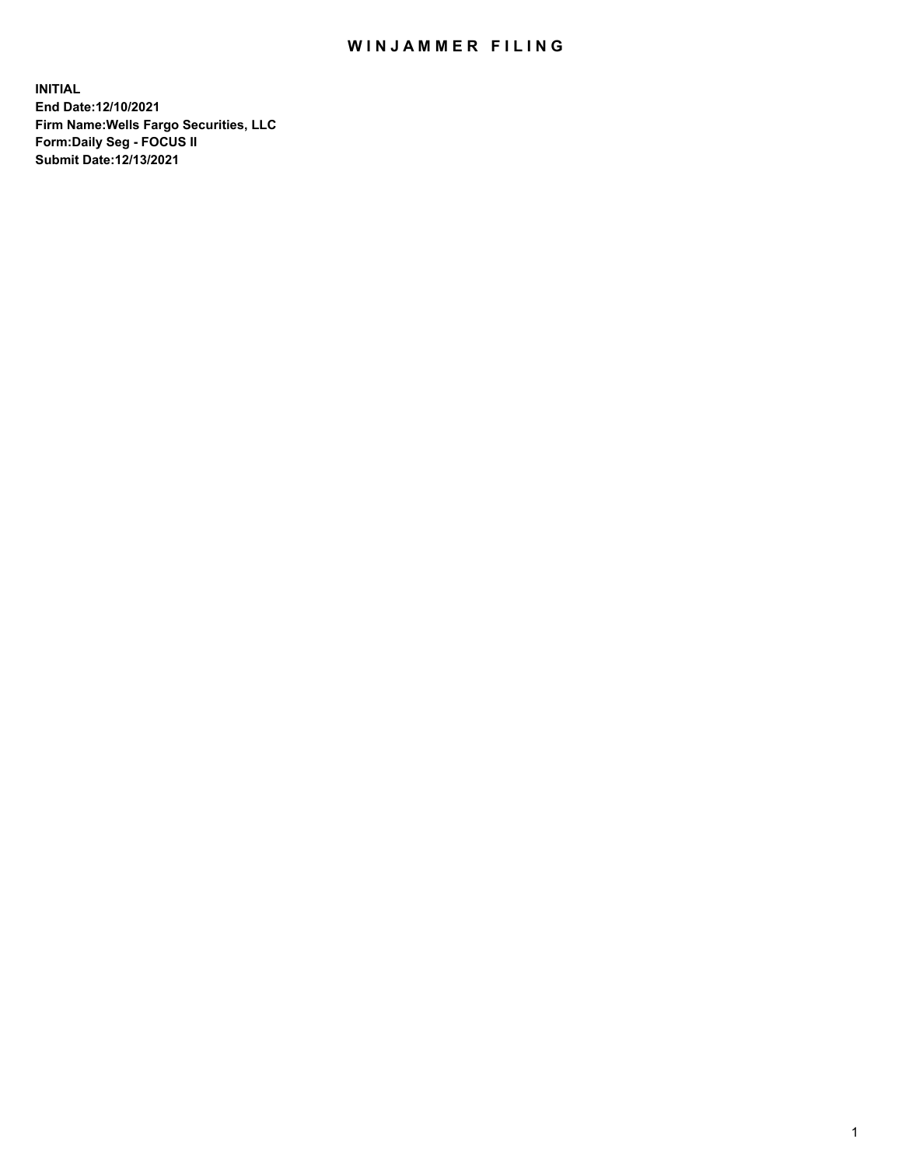## WIN JAMMER FILING

**INITIAL End Date:12/10/2021 Firm Name:Wells Fargo Securities, LLC Form:Daily Seg - FOCUS II Submit Date:12/13/2021**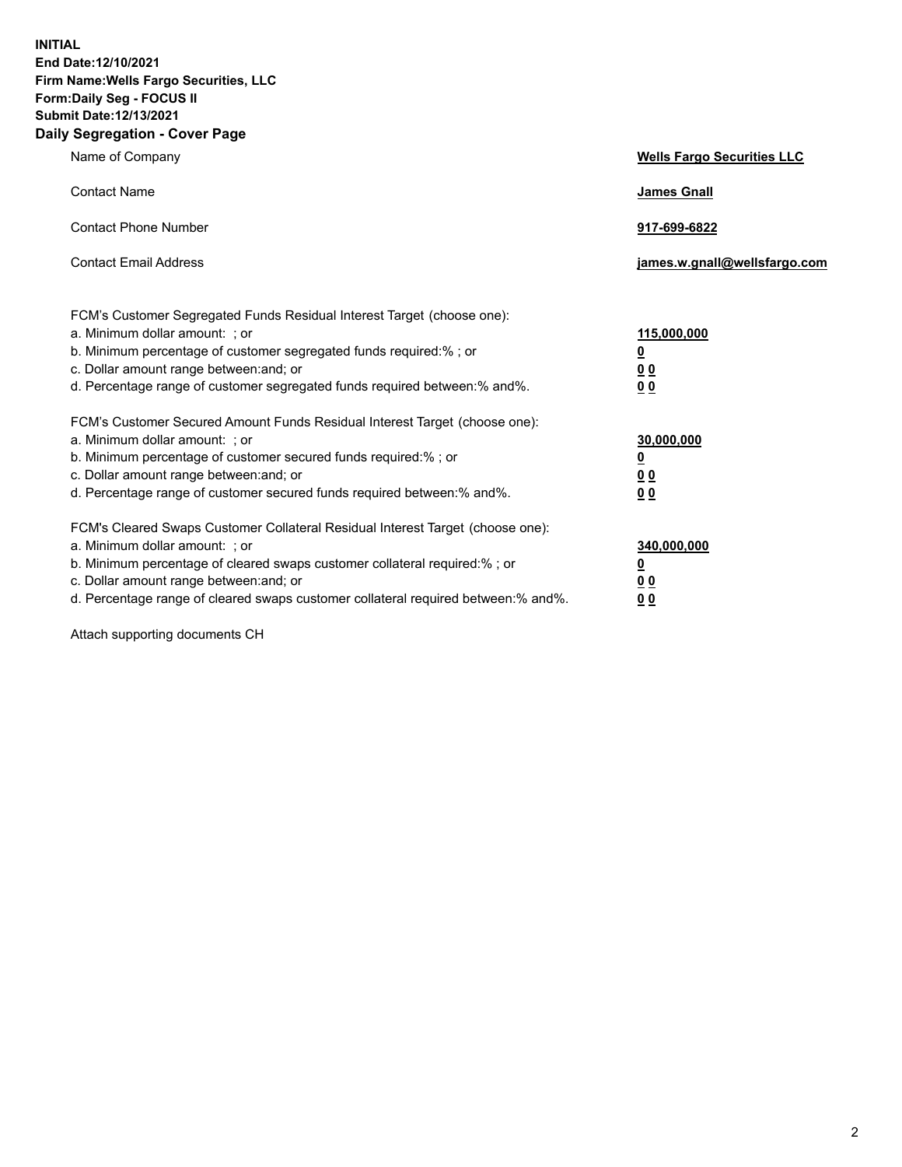**INITIAL End Date:12/10/2021 Firm Name:Wells Fargo Securities, LLC Form:Daily Seg - FOCUS II Submit Date:12/13/2021 Daily Segregation - Cover Page**

| Name of Company                                                                                                                                                                                                                                                                                                                | <b>Wells Fargo Securities LLC</b>                          |
|--------------------------------------------------------------------------------------------------------------------------------------------------------------------------------------------------------------------------------------------------------------------------------------------------------------------------------|------------------------------------------------------------|
| <b>Contact Name</b>                                                                                                                                                                                                                                                                                                            | <b>James Gnall</b>                                         |
| <b>Contact Phone Number</b>                                                                                                                                                                                                                                                                                                    | 917-699-6822                                               |
| <b>Contact Email Address</b>                                                                                                                                                                                                                                                                                                   | james.w.gnall@wellsfargo.com                               |
| FCM's Customer Segregated Funds Residual Interest Target (choose one):<br>a. Minimum dollar amount: ; or<br>b. Minimum percentage of customer segregated funds required:% ; or<br>c. Dollar amount range between: and; or<br>d. Percentage range of customer segregated funds required between: % and %.                       | 115,000,000<br><u>0</u><br><u>00</u><br>0 <sub>0</sub>     |
| FCM's Customer Secured Amount Funds Residual Interest Target (choose one):<br>a. Minimum dollar amount: ; or<br>b. Minimum percentage of customer secured funds required:% ; or<br>c. Dollar amount range between: and; or<br>d. Percentage range of customer secured funds required between: % and %.                         | 30,000,000<br><u>0</u><br>0 <sub>0</sub><br>0 <sub>0</sub> |
| FCM's Cleared Swaps Customer Collateral Residual Interest Target (choose one):<br>a. Minimum dollar amount: ; or<br>b. Minimum percentage of cleared swaps customer collateral required:% ; or<br>c. Dollar amount range between: and; or<br>d. Percentage range of cleared swaps customer collateral required between:% and%. | 340,000,000<br><u>0</u><br>00<br><u>00</u>                 |

Attach supporting documents CH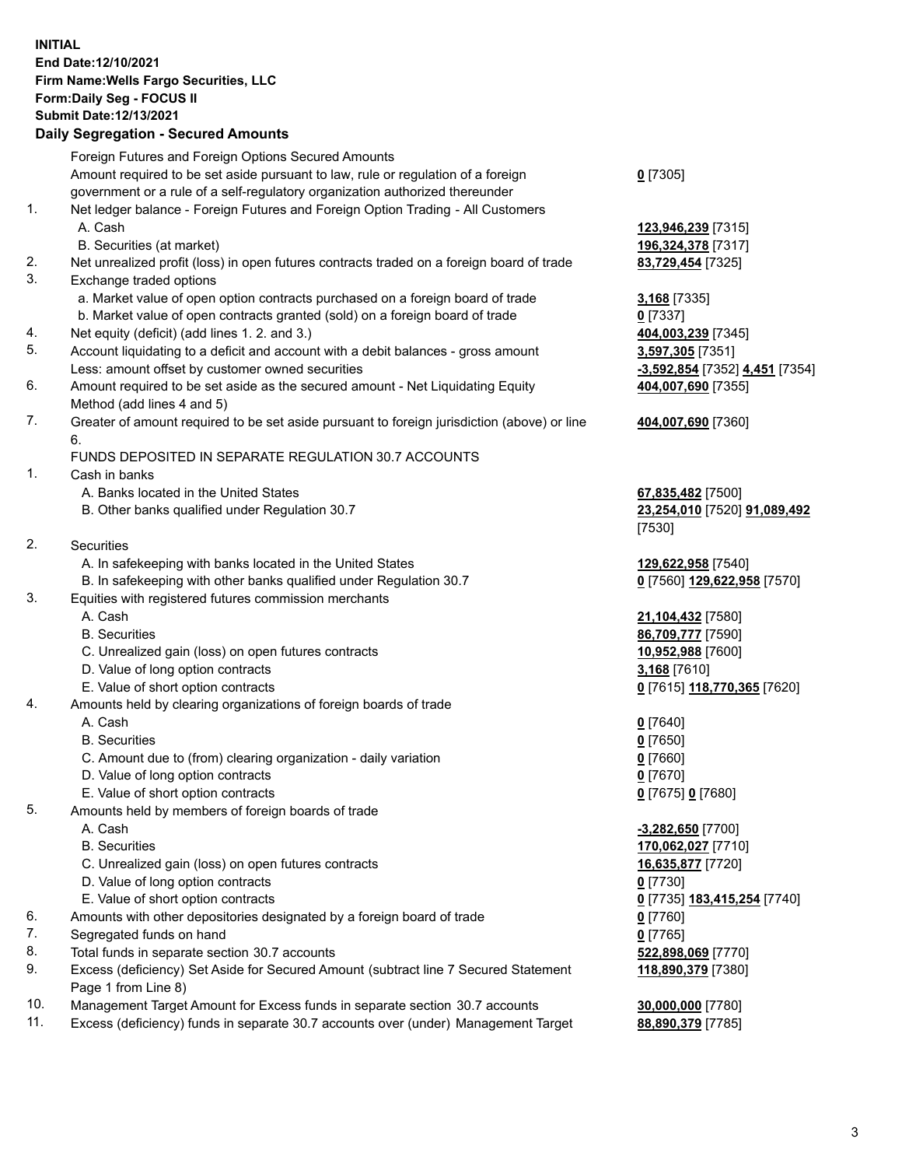**INITIAL End Date:12/10/2021 Firm Name:Wells Fargo Securities, LLC Form:Daily Seg - FOCUS II Submit Date:12/13/2021**

## **Daily Segregation - Secured Amounts**

|     | Foreign Futures and Foreign Options Secured Amounts                                         |                                |
|-----|---------------------------------------------------------------------------------------------|--------------------------------|
|     | Amount required to be set aside pursuant to law, rule or regulation of a foreign            | $0$ [7305]                     |
|     | government or a rule of a self-regulatory organization authorized thereunder                |                                |
| 1.  | Net ledger balance - Foreign Futures and Foreign Option Trading - All Customers             |                                |
|     | A. Cash                                                                                     | 123,946,239 [7315]             |
|     | B. Securities (at market)                                                                   | 196,324,378 [7317]             |
| 2.  | Net unrealized profit (loss) in open futures contracts traded on a foreign board of trade   | 83,729,454 [7325]              |
| 3.  | Exchange traded options                                                                     |                                |
|     | a. Market value of open option contracts purchased on a foreign board of trade              | 3,168 [7335]                   |
|     | b. Market value of open contracts granted (sold) on a foreign board of trade                | $0$ [7337]                     |
| 4.  | Net equity (deficit) (add lines 1. 2. and 3.)                                               | 404,003,239 [7345]             |
| 5.  | Account liquidating to a deficit and account with a debit balances - gross amount           | 3,597,305 [7351]               |
|     | Less: amount offset by customer owned securities                                            | -3,592,854 [7352] 4,451 [7354] |
| 6.  | Amount required to be set aside as the secured amount - Net Liquidating Equity              | 404,007,690 [7355]             |
|     | Method (add lines 4 and 5)                                                                  |                                |
| 7.  | Greater of amount required to be set aside pursuant to foreign jurisdiction (above) or line | 404,007,690 [7360]             |
|     | 6.                                                                                          |                                |
|     | FUNDS DEPOSITED IN SEPARATE REGULATION 30.7 ACCOUNTS                                        |                                |
| 1.  | Cash in banks                                                                               |                                |
|     | A. Banks located in the United States                                                       | 67,835,482 [7500]              |
|     | B. Other banks qualified under Regulation 30.7                                              | 23,254,010 [7520] 91,089,492   |
|     |                                                                                             | [7530]                         |
| 2.  | <b>Securities</b>                                                                           |                                |
|     | A. In safekeeping with banks located in the United States                                   | 129,622,958 [7540]             |
|     | B. In safekeeping with other banks qualified under Regulation 30.7                          | 0 [7560] 129,622,958 [7570]    |
| 3.  | Equities with registered futures commission merchants                                       |                                |
|     | A. Cash                                                                                     | 21,104,432 [7580]              |
|     | <b>B.</b> Securities                                                                        | 86,709,777 [7590]              |
|     | C. Unrealized gain (loss) on open futures contracts                                         | 10,952,988 [7600]              |
|     | D. Value of long option contracts                                                           | 3,168 [7610]                   |
|     | E. Value of short option contracts                                                          | 0 [7615] 118,770,365 [7620]    |
| 4.  | Amounts held by clearing organizations of foreign boards of trade                           |                                |
|     | A. Cash                                                                                     | $0$ [7640]                     |
|     | <b>B.</b> Securities                                                                        | $0$ [7650]                     |
|     | C. Amount due to (from) clearing organization - daily variation                             | $0$ [7660]                     |
|     | D. Value of long option contracts                                                           | $0$ [7670]                     |
|     | E. Value of short option contracts                                                          | 0 [7675] 0 [7680]              |
| 5.  | Amounts held by members of foreign boards of trade                                          |                                |
|     | A. Cash                                                                                     | -3,282,650 [7700]              |
|     | <b>B.</b> Securities                                                                        | 170,062,027 [7710]             |
|     | C. Unrealized gain (loss) on open futures contracts                                         | 16,635,877 [7720]              |
|     | D. Value of long option contracts                                                           | $0$ [7730]                     |
|     | E. Value of short option contracts                                                          | 0 [7735] 183,415,254 [7740]    |
| 6.  | Amounts with other depositories designated by a foreign board of trade                      | $0$ [7760]                     |
| 7.  | Segregated funds on hand                                                                    | $0$ [7765]                     |
| 8.  | Total funds in separate section 30.7 accounts                                               | 522,898,069 [7770]             |
| 9.  | Excess (deficiency) Set Aside for Secured Amount (subtract line 7 Secured Statement         | 118,890,379 [7380]             |
|     | Page 1 from Line 8)                                                                         |                                |
| 10. | Management Target Amount for Excess funds in separate section 30.7 accounts                 | 30,000,000 [7780]              |

11. Excess (deficiency) funds in separate 30.7 accounts over (under) Management Target **88,890,379** [7785]

3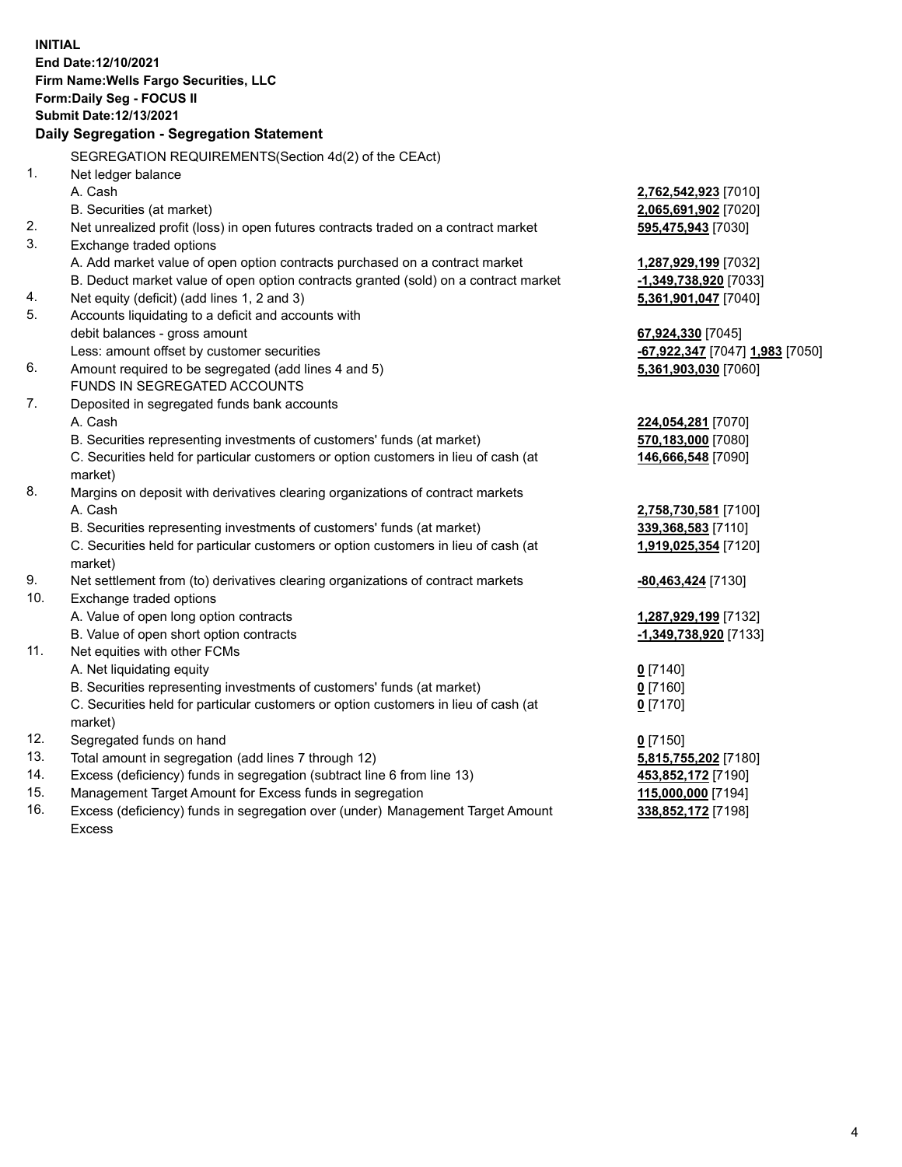**INITIAL End Date:12/10/2021 Firm Name:Wells Fargo Securities, LLC Form:Daily Seg - FOCUS II Submit Date:12/13/2021 Daily Segregation - Segregation Statement** SEGREGATION REQUIREMENTS(Section 4d(2) of the CEAct) 1. Net ledger balance A. Cash **2,762,542,923** [7010] B. Securities (at market) **2,065,691,902** [7020] 2. Net unrealized profit (loss) in open futures contracts traded on a contract market **595,475,943** [7030] 3. Exchange traded options A. Add market value of open option contracts purchased on a contract market **1,287,929,199** [7032] B. Deduct market value of open option contracts granted (sold) on a contract market **-1,349,738,920** [7033] 4. Net equity (deficit) (add lines 1, 2 and 3) **5,361,901,047** [7040] 5. Accounts liquidating to a deficit and accounts with debit balances - gross amount **67,924,330** [7045] Less: amount offset by customer securities **-67,922,347** [7047] **1,983** [7050] 6. Amount required to be segregated (add lines 4 and 5) **5,361,903,030** [7060] FUNDS IN SEGREGATED ACCOUNTS 7. Deposited in segregated funds bank accounts A. Cash **224,054,281** [7070] B. Securities representing investments of customers' funds (at market) **570,183,000** [7080] C. Securities held for particular customers or option customers in lieu of cash (at market) **146,666,548** [7090] 8. Margins on deposit with derivatives clearing organizations of contract markets A. Cash **2,758,730,581** [7100] B. Securities representing investments of customers' funds (at market) **339,368,583** [7110] C. Securities held for particular customers or option customers in lieu of cash (at market) **1,919,025,354** [7120] 9. Net settlement from (to) derivatives clearing organizations of contract markets **-80,463,424** [7130] 10. Exchange traded options A. Value of open long option contracts **1,287,929,199** [7132] B. Value of open short option contracts **-1,349,738,920** [7133] 11. Net equities with other FCMs A. Net liquidating equity **0** [7140] B. Securities representing investments of customers' funds (at market) **0** [7160] C. Securities held for particular customers or option customers in lieu of cash (at market) **0** [7170] 12. Segregated funds on hand **0** [7150] 13. Total amount in segregation (add lines 7 through 12) **5,815,755,202** [7180] 14. Excess (deficiency) funds in segregation (subtract line 6 from line 13) **453,852,172** [7190]

- 15. Management Target Amount for Excess funds in segregation **115,000,000** [7194]
- 16. Excess (deficiency) funds in segregation over (under) Management Target Amount Excess

**338,852,172** [7198]